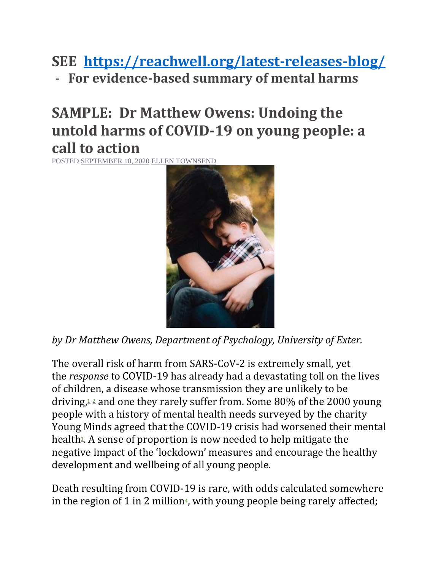**SEE <https://reachwell.org/latest-releases-blog/>**

- **For evidence-based summary of mental harms**

## **SAMPLE: Dr Matthew Owens: Undoing the untold harms of COVID-19 on young people: a call to action**

POSTED [SEPTEMBER 10, 2020](https://reachwell.org/2020/09/10/dr-matthew-owens-undoing-the-untold-harms-of-covid-19-on-young-people-a-call-to-action/) [ELLEN TOWNSEND](https://reachwell.org/author/ellentownsend/)



*by Dr Matthew Owens, Department of Psychology, University of Exter.*

The overall risk of harm from SARS-CoV-2 is extremely small, yet the *response* to COVID-19 has already had a devastating toll on the lives of children, a disease whose transmission they are unlikely to be driving[,](https://pediatrics.aappublications.org/content/146/2/e2020004879) $12$  $12$  and one they rarely suffer from. Some 80% of the 2000 young people with a history of mental health needs surveyed by the charity Young Minds agreed that the COVID-19 crisis had worsened their mental health<sup>3</sup>[.](https://youngminds.org.uk/media/3904/coronavirus-report-summer-2020-final.pdf) A sense of proportion is now needed to help mitigate the negative impact of the 'lockdown' measures and encourage the healthy development and wellbeing of all young people.

Death resulting from COVID-19 is rare, with odds calculated somewhere i[n](https://www.dailymail.co.uk/debate/article-8692081/The-true-risk-Covid-19-Not-taking-regular-bath-writes-TIM-HARFORD.html) the region of 1 in 2 million<sup>4</sup>, with young people being rarely affected;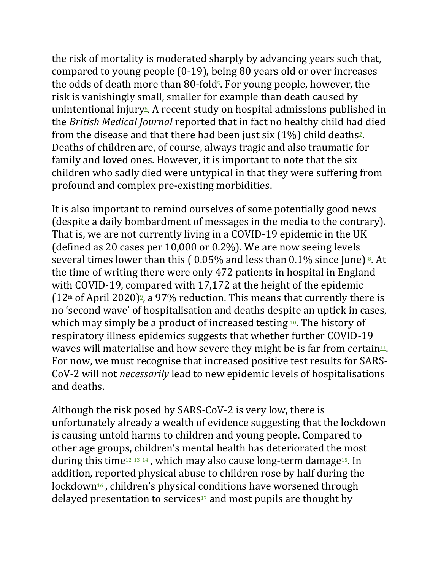the risk of mortality is moderated sharply by advancing years such that, compared to young people (0-19), being 80 years old or over increases the odds of death more than 80-fold $\frac{1}{2}$ . For young people, however, the risk is vanishingly small, smaller for example than death caused by unintentional injury<sup> $\epsilon$ </sup>. A recent study on hospital admissions published in the *British Medical Journal* reported that in fact no healthy child had died from the disease and that there had been just six  $(1\%)$  child deaths<sup>2</sup>. Deaths of children are, of course, always tragic and also traumatic for family and loved ones. However, it is important to note that the six children who sadly died were untypical in that they were suffering from profound and complex pre-existing morbidities.

It is also important to remind ourselves of some potentially good news (despite a daily bombardment of messages in the media to the contrary). That is, we are not currently living in a COVID-19 epidemic in the UK (defined as 20 cases per 10,000 or 0.2%). We are now seeing levels several times lower than this ( $0.05\%$  $0.05\%$  $0.05\%$  and less than  $0.1\%$  since June)  $\frac{8}{3}$ . At the time of writing there were only 472 patients in hospital in England with COVID-19, compared with 17,172 at the height of the epidemic  $(12<sup>th</sup>$  of April 2020[\)](https://coronavirus.data.gov.uk/healthcare)<sup>2</sup>, a 97% reduction. This means that currently there is no 'second wave' of hospitalisation and deaths despite an uptick in cases, which may simply be a product of increased testing  $\mathfrak{10}$  $\mathfrak{10}$  $\mathfrak{10}$ . The history of respiratory illness epidemics suggests that whether further COVID-19 waves will materialise and how severe they might be is far from certain<sup>[11](https://www.cebm.net/covid-19/covid-19-epidemic-waves/)</sup>. For now, we must recognise that increased positive test results for SARS-CoV-2 will not *necessarily* lead to new epidemic levels of hospitalisations and deaths.

Although the risk posed by SARS-CoV-2 is very low, there is unfortunately already a wealth of evidence suggesting that the lockdown is causing untold harms to children and young people. Compared to other age groups, children's mental health has deteriorated the most during this time<sup>[12](https://www.thelancet.com/journals/lanpsy/article/PIIS2215-0366(20)30308-4/fulltext)</sup> <sup>[13](https://www.medrxiv.org/content/10.1101/2020.06.16.20133116v1)</sup> <sup>[14](https://www.health.org.uk/publications/long-reads/generation-covid-19)</sup>, which may also cause long-term damage<sup>[15](https://jaacap.org/article/S0890-8567(20)30337-3/fulltext)</sup>. In addition, reported physical abuse to children rose by half during the lockdown<sup>[16](https://www.theguardian.com/society/2020/aug/25/physical-abuse-older-children-soared-lockdown-says-nspcc)</sup>, children's physical conditions have worsened through delayed presentation to services $\mathcal{I}$  and most pupils are thought by